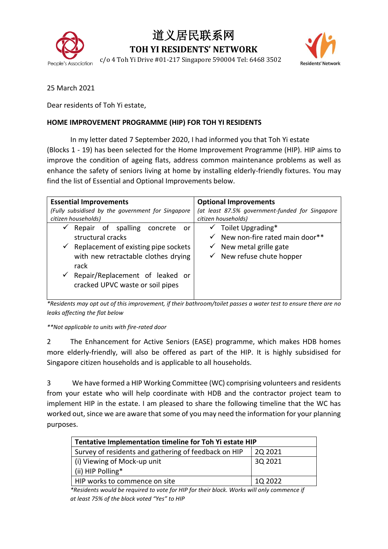

## 道义居民联系网

**TOH YI RESIDENTS' NETWORK**

People's Association c/o 4 Toh Yi Drive #01-217 Singapore 590004 Tel: 6468 3502



25 March 2021

Dear residents of Toh Yi estate,

## **HOME IMPROVEMENT PROGRAMME (HIP) FOR TOH YI RESIDENTS**

In my letter dated 7 September 2020, I had informed you that Toh Yi estate (Blocks 1 - 19) has been selected for the Home Improvement Programme (HIP). HIP aims to improve the condition of ageing flats, address common maintenance problems as well as enhance the safety of seniors living at home by installing elderly-friendly fixtures. You may find the list of Essential and Optional Improvements below.

| <b>Essential Improvements</b>                                                                                                                                                                                                               | <b>Optional Improvements</b>                                                                                                                   |  |
|---------------------------------------------------------------------------------------------------------------------------------------------------------------------------------------------------------------------------------------------|------------------------------------------------------------------------------------------------------------------------------------------------|--|
| (Fully subsidised by the government for Singapore<br>citizen households)                                                                                                                                                                    | (at least 87.5% government-funded for Singapore<br>citizen households)                                                                         |  |
| Repair of spalling concrete<br>✓<br>or<br>structural cracks<br>$\checkmark$ Replacement of existing pipe sockets<br>with new retractable clothes drying<br>rack<br>Repair/Replacement of leaked or<br>✓<br>cracked UPVC waste or soil pipes | $\checkmark$ Toilet Upgrading*<br>New non-fire rated main door**<br>$\checkmark$<br>New metal grille gate<br>✔<br>New refuse chute hopper<br>✓ |  |

*\*Residents may opt out of this improvement, if their bathroom/toilet passes a water test to ensure there are no leaks affecting the flat below*

*\*\*Not applicable to units with fire-rated door*

2 The Enhancement for Active Seniors (EASE) programme, which makes HDB homes more elderly-friendly, will also be offered as part of the HIP. It is highly subsidised for Singapore citizen households and is applicable to all households.

3 We have formed a HIP Working Committee (WC) comprising volunteers and residents from your estate who will help coordinate with HDB and the contractor project team to implement HIP in the estate. I am pleased to share the following timeline that the WC has worked out, since we are aware that some of you may need the information for your planning purposes.

| Tentative Implementation timeline for Toh Yi estate HIP |         |  |
|---------------------------------------------------------|---------|--|
| Survey of residents and gathering of feedback on HIP    | 2Q 2021 |  |
| (i) Viewing of Mock-up unit                             | 3Q 2021 |  |
| (ii) HIP Polling*                                       |         |  |
| HIP works to commence on site                           | 1Q 2022 |  |

*\*Residents would be required to vote for HIP for their block. Works will only commence if at least 75% of the block voted "Yes" to HIP*